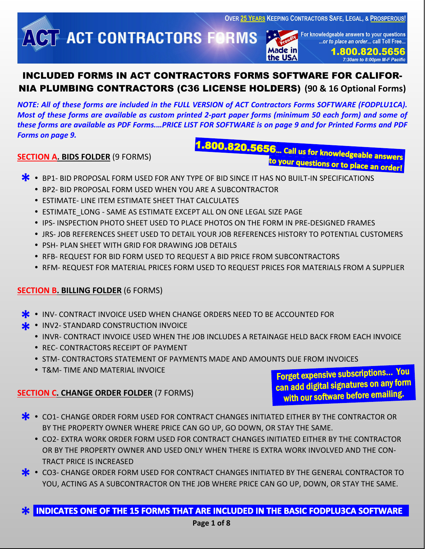**OVER 25 YEARS KEEPING CONTRACTORS SAFE, LEGAL, & PROSPEROUS!** 

**ACT CONTRACTORS FORMS** 

For knowledgeable answers to your questions ...or to place an order... call Toll Free..

**Made in** the USA

1.800.820.5656 7:30am to 8:00pm M-F Pacific

# INCLUDED FORMS IN ACT CONTRACTORS FORMS SOFTWARE FOR CALIFOR-NIA PLUMBING CONTRACTORS (C36 LICENSE HOLDERS) **(90 & 16 Optional Forms)**

*NOTE: All of these forms are included in the FULL VERSION of ACT Contractors Forms SOFTWARE (FODPLU1CA). Most of these forms are available as custom printed 2-part paper forms (minimum 50 each form) and some of these forms are available as PDF Forms.…PRICE LIST FOR SOFTWARE is on page 9 and for Printed Forms and PDF Forms on page 9.*

# **SECTION A. BIDS FOLDER** (9 FORMS)

.800.820.5656... call us for knowledgeable answers to your questions or to place an order!

- **\*** BP1- BID PROPOSAL FORM USED FOR ANY TYPE OF BID SINCE IT HAS NO BUILT-IN SPECIFICATIONS<br>• BP2- BID PROPOSAL FORM USED WHEN YOU ARE A SUBCONTRACTOR
	- BP2- BID PROPOSAL FORM USED WHEN YOU ARE A SUBCONTRACTOR
	- ESTIMATE- LINE ITEM ESTIMATE SHEET THAT CALCULATES
	- **ESTIMATE\_LONG SAME AS ESTIMATE EXCEPT ALL ON ONE LEGAL SIZE PAGE**
	- **IPS- INSPECTION PHOTO SHEET USED TO PLACE PHOTOS ON THE FORM IN PRE-DESIGNED FRAMES**
	- JRS- JOB REFERENCES SHEET USED TO DETAIL YOUR JOB REFERENCES HISTORY TO POTENTIAL CUSTOMERS
	- **PSH- PLAN SHEFT WITH GRID FOR DRAWING JOB DETAILS**
	- RFB- REQUEST FOR BID FORM USED TO REQUEST A BID PRICE FROM SUBCONTRACTORS
	- RFM- REQUEST FOR MATERIAL PRICES FORM USED TO REQUEST PRICES FOR MATERIALS FROM A SUPPLIER

## **SECTION B. BILLING FOLDER** (6 FORMS)

- **\*** INV- CONTRACT INVOICE USED WHEN CHANGE ORDERS NEED TO BE ACCOUNTED FOR<br>★ INV2- STANDARD CONSTRUCTION INVOICE
	-
- INV2- STANDARD CONSTRUCTION INVOICE **\*** INVR- CONTRACT INVOICE USED WHEN THE JOB INCLUDES A RETAINAGE HELD BACK FROM EACH INVOICE
	- REC- CONTRACTORS RECEIPT OF PAYMENT
	- **.** STM- CONTRACTORS STATEMENT OF PAYMENTS MADE AND AMOUNTS DUE FROM INVOICES
	- T&M- TIME AND MATERIAL INVOICE

## **SECTION C. CHANGE ORDER FOLDER** (7 FORMS)

Forget expensive subscriptions… You can add digital signatures on any form with our software before emailing.

- **\***  $\bullet$  CO1- CHANGE ORDER FORM USED FOR CONTRACT CHANGES INITIATED EITHER BY THE CONTRACTOR OR BY THE PROPERTY OWNER WHERE PRICE CAN GO UP, GO DOWN, OR STAY THE SAME. BY THE PROPERTY OWNER WHERE PRICE CAN GO UP, GO DOWN, OR STAY THE SAME.
	- CO2- EXTRA WORK ORDER FORM USED FOR CONTRACT CHANGES INITIATED EITHER BY THE CONTRACTOR OR BY THE PROPERTY OWNER AND USED ONLY WHEN THERE IS EXTRA WORK INVOLVED AND THE CON-TRACT PRICE IS INCREASED
- CO3- CHANGE ORDER FORM USED FOR CONTRACT CHANGES INITIATED BY THE GENERAL CONTRACTOR TO YOU, ACTING AS A SUBCONTRACTOR ON THE JOB WHERE PRICE CAN GO UP, DOWN, OR STAY THE SAME. YOU, ACTING AS A SUBCONTRACTOR ON THE JOB WHERE PRICE CAN GO UP, DOWN, OR STAY THE SAME.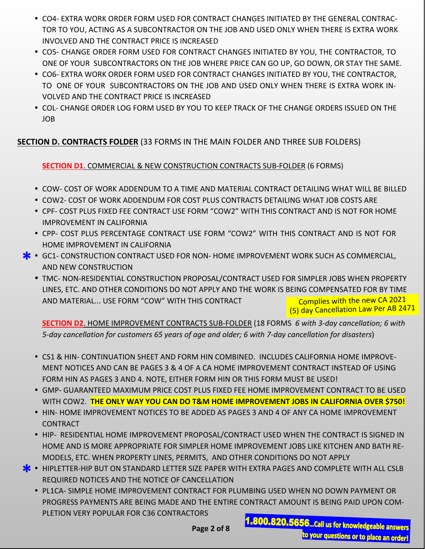- CO4- EXTRA WORK ORDER FORM USED FOR CONTRACT CHANGES INITIATED BY THE GENERAL CONTRAC-TOR TO YOU, ACTING AS A SUBCONTRACTOR ON THE JOB AND USED ONLY WHEN THERE IS EXTRA WORK INVOLVED AND THE CONTRACT PRICE IS INCREASED
- CO5- CHANGE ORDER FORM USED FOR CONTRACT CHANGES INITIATED BY YOU, THE CONTRACTOR, TO ONE OF YOUR SUBCONTRACTORS ON THE JOB WHERE PRICE CAN GO UP, GO DOWN, OR STAY THE SAME.
- CO6- EXTRA WORK ORDER FORM USED FOR CONTRACT CHANGES INITIATED BY YOU, THE CONTRACTOR, TO ONE OF YOUR SUBCONTRACTORS ON THE JOB AND USED ONLY WHEN THERE IS EXTRA WORK IN-VOLVED AND THE CONTRACT PRICE IS INCREASED
- COL- CHANGE ORDER LOG FORM USED BY YOU TO KEEP TRACK OF THE CHANGE ORDERS ISSUED ON THE JOB

# **SECTION D. CONTRACTS FOLDER** (33 FORMS IN THE MAIN FOLDER AND THREE SUB FOLDERS)

# **SECTION D1**. COMMERCIAL & NEW CONSTRUCTION CONTRACTS SUB-FOLDER (6 FORMS)

- COW- COST OF WORK ADDENDUM TO A TIME AND MATERIAL CONTRACT DETAILING WHAT WILL BE BILLED
- COW2- COST OF WORK ADDENDUM FOR COST PLUS CONTRACTS DETAILING WHAT JOB COSTS ARE
- CPF- COST PLUS FIXED FEE CONTRACT USE FORM "COW2" WITH THIS CONTRACT AND IS NOT FOR HOME IMPROVEMENT IN CALIFORNIA
- CPP- COST PLUS PERCENTAGE CONTRACT USE FORM "COW2" WITH THIS CONTRACT AND IS NOT FOR HOME IMPROVEMENT IN CALIFORNIA
- **\*** GC1- CONSTRUCTION CONTRACT USED FOR NON- HOME IMPROVEMENT WORK SUCH AS COMMERCIAL,<br>AND NEW CONSTRUCTION AND NEW CONSTRUCTION
	- TMC- NON-RESIDENTIAL CONSTRUCTION PROPOSAL/CONTRACT USED FOR SIMPLER JOBS WHEN PROPERTY LINES, ETC. AND OTHER CONDITIONS DO NOT APPLY AND THE WORK IS BEING COMPENSATED FOR BY TIME AND MATERIAL... USE FORM "COW" WITH THIS CONTRACT Complies with the new CA <sup>2021</sup> (5) day Cancellation Law Per AB <sup>2471</sup>

**SECTION D2**. HOME IMPROVEMENT CONTRACTS SUB-FOLDER (18 FORMS *6 with 3-day cancellation; 6 with 5-day cancellation for customers 65 years of age and older; 6 with 7-day cancellation for disasters*)

- CS1 & HIN- CONTINUATION SHEET AND FORM HIN COMBINED. INCLUDES CALIFORNIA HOME IMPROVE-MENT NOTICES AND CAN BE PAGES 3 & 4 OF A CA HOME IMPROVEMENT CONTRACT INSTEAD OF USING FORM HIN AS PAGES 3 AND 4. NOTE, EITHER FORM HIN OR THIS FORM MUST BE USED!
- GMP- GUARANTEED MAXIMUM PRICE COST PLUS FIXED FEE HOME IMPROVEMENT CONTRACT TO BE USED WITH COW2. **THE ONLY WAY YOU CAN DO T&M HOME IMPROVEMENT JOBS IN CALIFORNIA OVER \$750!**
- **HIN- HOME IMPROVEMENT NOTICES TO BE ADDED AS PAGES 3 AND 4 OF ANY CA HOME IMPROVEMENT CONTRACT**
- HIP- RESIDENTIAL HOME IMPROVEMENT PROPOSAL/CONTRACT USED WHEN THE CONTRACT IS SIGNED IN HOME AND IS MORE APPROPRIATE FOR SIMPLER HOME IMPROVEMENT JOBS LIKE KITCHEN AND BATH RE-MODELS, ETC. WHEN PROPERTY LINES, PERMITS, AND OTHER CONDITIONS DO NOT APPLY
- **\*** HIPLETTER-HIP BUT ON STANDARD LETTER SIZE PAPER WITH EXTRA PAGES AND COMPLETE WITH ALL CSLB<br>REQUIRED NOTICES AND THE NOTICE OF CANCELLATION REQUIRED NOTICES AND THE NOTICE OF CANCELLATION
	- PL1CA- SIMPLE HOME IMPROVEMENT CONTRACT FOR PLUMBING USED WHEN NO DOWN PAYMENT OR PROGRESS PAYMENTS ARE BEING MADE AND THE ENTIRE CONTRACT AMOUNT IS BEING PAID UPON COM-PLETION VERY POPULAR FOR C36 CONTRACTORS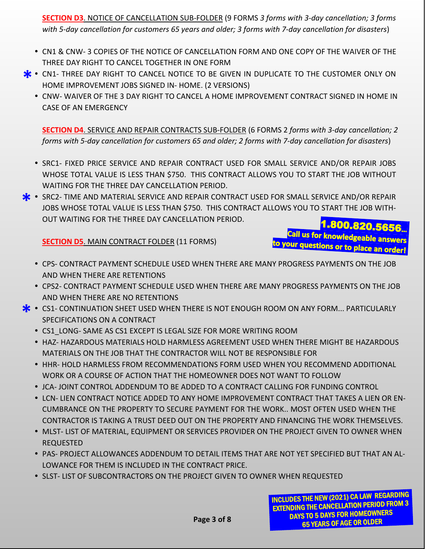**SECTION D3**. NOTICE OF CANCELLATION SUB-FOLDER (9 FORMS *3 forms with 3-day cancellation; 3 forms with 5-day cancellation for customers 65 years and older; 3 forms with 7-day cancellation for disasters*)

- CN1 & CNW- 3 COPIES OF THE NOTICE OF CANCELLATION FORM AND ONE COPY OF THE WAIVER OF THE THREE DAY RIGHT TO CANCEL TOGETHER IN ONE FORM
- **\*** CN1- THREE DAY RIGHT TO CANCEL NOTICE TO BE GIVEN IN DUPLICATE TO THE CUSTOMER ONLY ON HOME IMPROVEMENT JOBS SIGNED IN- HOME. (2 VERSIONS) HOME IMPROVEMENT JOBS SIGNED IN- HOME. (2 VERSIONS)
	- CNW- WAIVER OF THE 3 DAY RIGHT TO CANCEL A HOME IMPROVEMENT CONTRACT SIGNED IN HOME IN CASE OF AN EMERGENCY

**SECTION D4**. SERVICE AND REPAIR CONTRACTS SUB-FOLDER (6 FORMS 2 *forms with 3-day cancellation; 2 forms with 5-day cancellation for customers 65 and older; 2 forms with 7-day cancellation for disasters*)

- **SRC1- FIXED PRICE SERVICE AND REPAIR CONTRACT USED FOR SMALL SERVICE AND/OR REPAIR JOBS** WHOSE TOTAL VALUE IS LESS THAN \$750. THIS CONTRACT ALLOWS YOU TO START THE JOB WITHOUT WAITING FOR THE THREE DAY CANCELLATION PERIOD.
- SRC2- TIME AND MATERIAL SERVICE AND REPAIR CONTRACT USED FOR SMALL SERVICE AND/OR REPAIR JOBS WHOSE TOTAL VALUE IS LESS THAN \$750. THIS CONTRACT ALLOWS YOU TO START THE JOB WITH-JOBS WHOSE TOTAL VALUE IS LESS THAN \$750. THIS CONTRACT ALLOWS YOU TO START THE JOB WITH-OUT WAITING FOR THE THREE DAY CANCELLATION PERIOD. 1.800.820.5656

**SECTION D5.** MAIN CONTRACT FOLDER (11 FORMS)

- CPS- CONTRACT PAYMENT SCHEDULE USED WHEN THERE ARE MANY PROGRESS PAYMENTS ON THE JOB AND WHEN THERE ARE RETENTIONS
- CPS2- CONTRACT PAYMENT SCHEDULE USED WHEN THERE ARE MANY PROGRESS PAYMENTS ON THE JOB AND WHEN THERE ARE NO RETENTIONS
- **\*** CS1- CONTINUATION SHEET USED WHEN THERE IS NOT ENOUGH ROOM ON ANY FORM... PARTICULARLY<br>SPECIFICATIONS ON A CONTRACT SPECIFICATIONS ON A CONTRACT
	- CS1\_LONG- SAME AS CS1 EXCEPT IS LEGAL SIZE FOR MORE WRITING ROOM
	- HAZ- HAZARDOUS MATERIALS HOLD HARMLESS AGREEMENT USED WHEN THERE MIGHT BE HAZARDOUS MATERIALS ON THE JOB THAT THE CONTRACTOR WILL NOT BE RESPONSIBLE FOR
	- **HHR- HOLD HARMLESS FROM RECOMMENDATIONS FORM USED WHEN YOU RECOMMEND ADDITIONAL** WORK OR A COURSE OF ACTION THAT THE HOMEOWNER DOES NOT WANT TO FOLLOW
	- JCA- JOINT CONTROL ADDENDUM TO BE ADDED TO A CONTRACT CALLING FOR FUNDING CONTROL
	- **LCN- LIEN CONTRACT NOTICE ADDED TO ANY HOME IMPROVEMENT CONTRACT THAT TAKES A LIEN OR EN-**CUMBRANCE ON THE PROPERTY TO SECURE PAYMENT FOR THE WORK.. MOST OFTEN USED WHEN THE CONTRACTOR IS TAKING A TRUST DEED OUT ON THE PROPERTY AND FINANCING THE WORK THEMSELVES.
	- **MLST- LIST OF MATERIAL, EQUIPMENT OR SERVICES PROVIDER ON THE PROJECT GIVEN TO OWNER WHEN** REQUESTED
	- PAS- PROJECT ALLOWANCES ADDENDUM TO DETAIL ITEMS THAT ARE NOT YET SPECIFIED BUT THAT AN AL-LOWANCE FOR THEM IS INCLUDED IN THE CONTRACT PRICE.
	- **SLST- LIST OF SUBCONTRACTORS ON THE PROJECT GIVEN TO OWNER WHEN REQUESTED**

Call us for knowledgeable answers to your questions or to place an order!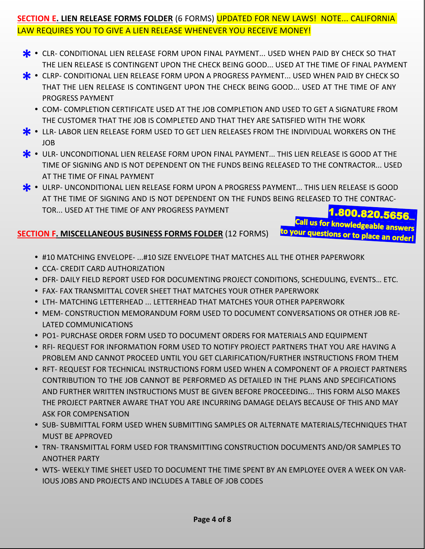# **SECTION E. LIEN RELEASE FORMS FOLDER** (6 FORMS) UPDATED FOR NEW LAWS! NOTE... CALIFORNIA LAW REQUIRES YOU TO GIVE A LIEN RELEASE WHENEVER YOU RECEIVE MONEY!

- **\*** CLR- CONDITIONAL LIEN RELEASE FORM UPON FINAL PAYMENT... USED WHEN PAID BY CHECK SO THAT THE LIEN RELEASE IS CONTINGENT UPON THE CHECK BEING GOOD... USED AT THE TIME OF FINAL PAYME THE LIEN RELEASE IS CONTINGENT UPON THE CHECK BEING GOOD... USED AT THE TIME OF FINAL PAYMENT
- CLRP- CONDITIONAL LIEN RELEASE FORM UPON A PROGRESS PAYMENT... USED WHEN PAID BY CHECK SO THAT THE LIEN RELEASE IS CONTINGENT UPON THE CHECK BEING GOOD... USED AT THE TIME OF ANY THAT THE LIEN RELEASE IS CONTINGENT UPON THE CHECK BEING GOOD... USED AT THE TIME OF ANY PROGRESS PAYMENT
	- COM- COMPLETION CERTIFICATE USED AT THE JOB COMPLETION AND USED TO GET A SIGNATURE FROM THE CUSTOMER THAT THE JOB IS COMPLETED AND THAT THEY ARE SATISFIED WITH THE WORK
- **\*** LLR- LABOR LIEN RELEASE FORM USED TO GET LIEN RELEASES FROM THE INDIVIDUAL WORKERS ON THE JOB JOB
- ULR- UNCONDITIONAL LIEN RELEASE FORM UPON FINAL PAYMENT... THIS LIEN RELEASE IS GOOD AT THE **\*\*\***<br>TIME OF SIGNING AND IS NOT DEPENDENT ON THE FUNDS BEING RELEASED TO THE CONTRACTOR... USEI TIME OF SIGNING AND IS NOT DEPENDENT ON THE FUNDS BEING RELEASED TO THE CONTRACTOR... USED AT THE TIME OF FINAL PAYMENT
- ULRP- UNCONDITIONAL LIEN RELEASE FORM UPON A PROGRESS PAYMENT... THIS LIEN RELEASE IS GOOD AT THE TIME OF SIGNING AND IS NOT DEPENDENT ON THE FUNDS BEING RELEASED TO THE CONTRAC-AT THE TIME OF SIGNING AND IS NOT DEPENDENT ON THE FUNDS BEING RELEASED TO THE CONTRAC-TOR... USED AT THE TIME OF ANY PROGRESS PAYMENT

# **SECTION F. MISCELLANEOUS BUSINESS FORMS FOLDER** (12 FORMS)

1.800.820.5656 Call us for knowledgeable answers to your questions or to place an order!

- #10 MATCHING ENVELOPE- ...#10 SIZE ENVELOPE THAT MATCHES ALL THE OTHER PAPERWORK
- CCA- CREDIT CARD AUTHORIZATION
- DFR- DAILY FIELD REPORT USED FOR DOCUMENTING PROJECT CONDITIONS, SCHEDULING, EVENTS… ETC.
- FAX- FAX TRANSMITTAL COVER SHEET THAT MATCHES YOUR OTHER PAPERWORK
- LTH- MATCHING LETTERHEAD ... LETTERHEAD THAT MATCHES YOUR OTHER PAPERWORK
- MEM- CONSTRUCTION MEMORANDUM FORM USED TO DOCUMENT CONVERSATIONS OR OTHER JOB RE-LATED COMMUNICATIONS
- **PO1- PURCHASE ORDER FORM USED TO DOCUMENT ORDERS FOR MATERIALS AND EQUIPMENT**
- **. RFI- REQUEST FOR INFORMATION FORM USED TO NOTIFY PROJECT PARTNERS THAT YOU ARE HAVING A** PROBLEM AND CANNOT PROCEED UNTIL YOU GET CLARIFICATION/FURTHER INSTRUCTIONS FROM THEM
- **RFT- REQUEST FOR TECHNICAL INSTRUCTIONS FORM USED WHEN A COMPONENT OF A PROJECT PARTNERS** CONTRIBUTION TO THE JOB CANNOT BE PERFORMED AS DETAILED IN THE PLANS AND SPECIFICATIONS AND FURTHER WRITTEN INSTRUCTIONS MUST BE GIVEN BEFORE PROCEEDING... THIS FORM ALSO MAKES THE PROJECT PARTNER AWARE THAT YOU ARE INCURRING DAMAGE DELAYS BECAUSE OF THIS AND MAY ASK FOR COMPENSATION
- **SUB- SUBMITTAL FORM USED WHEN SUBMITTING SAMPLES OR ALTERNATE MATERIALS/TECHNIQUES THAT** MUST BE APPROVED
- TRN- TRANSMITTAL FORM USED FOR TRANSMITTING CONSTRUCTION DOCUMENTS AND/OR SAMPLES TO ANOTHER PARTY
- WTS- WEEKLY TIME SHEET USED TO DOCUMENT THE TIME SPENT BY AN EMPLOYEE OVER A WEEK ON VAR-IOUS JOBS AND PROJECTS AND INCLUDES A TABLE OF JOB CODES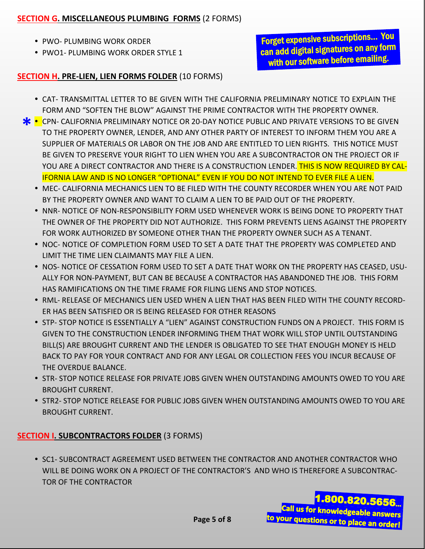#### **SECTION G. MISCELLANEOUS PLUMBING FORMS** (2 FORMS)

- PWO- PLUMBING WORK ORDER
- PWO1- PLUMBING WORK ORDER STYLE 1

Forget expensive subscriptions… You can add digital signatures on any form with our software before emailing.

#### **SECTION H. PRE-LIEN, LIEN FORMS FOLDER** (10 FORMS)

- CAT- TRANSMITTAL LETTER TO BE GIVEN WITH THE CALIFORNIA PRELIMINARY NOTICE TO EXPLAIN THE FORM AND "SOFTEN THE BLOW" AGAINST THE PRIME CONTRACTOR WITH THE PROPERTY OWNER.
- **\*** CPN- CALIFORNIA PRELIMINARY NOTICE OR 20-DAY NOTICE PUBLIC AND PRIVATE VERSIONS TO BE GIVEN TO THE PROPERTY OWNER, LENDER, AND ANY OTHER PARTY OF INTEREST TO INFORM THEM YOU ARE A TO THE PROPERTY OWNER, LENDER, AND ANY OTHER PARTY OF INTEREST TO INFORM THEM YOU ARE A SUPPLIER OF MATERIALS OR LABOR ON THE JOB AND ARE ENTITLED TO LIEN RIGHTS. THIS NOTICE MUST BE GIVEN TO PRESERVE YOUR RIGHT TO LIEN WHEN YOU ARE A SUBCONTRACTOR ON THE PROJECT OR IF YOU ARE A DIRECT CONTRACTOR AND THERE IS A CONSTRUCTION LENDER. THIS IS NOW REQUIRED BY CAL-IFORNIA LAW AND IS NO LONGER "OPTIONAL" EVEN IF YOU DO NOT INTEND TO EVER FILE A LIEN.
	- MEC- CALIFORNIA MECHANICS LIEN TO BE FILED WITH THE COUNTY RECORDER WHEN YOU ARE NOT PAID BY THE PROPERTY OWNER AND WANT TO CLAIM A LIEN TO BE PAID OUT OF THE PROPERTY.
	- $\bullet$  NNR- NOTICE OF NON-RESPONSIBILITY FORM USED WHENEVER WORK IS BEING DONE TO PROPERTY THAT THE OWNER OF THE PROPERTY DID NOT AUTHORIZE. THIS FORM PREVENTS LIENS AGAINST THE PROPERTY FOR WORK AUTHORIZED BY SOMEONE OTHER THAN THE PROPERTY OWNER SUCH AS A TENANT.
	- NOC- NOTICE OF COMPLETION FORM USED TO SET A DATE THAT THE PROPERTY WAS COMPLETED AND LIMIT THE TIME LIEN CLAIMANTS MAY FILE A LIEN.
	- . NOS- NOTICE OF CESSATION FORM USED TO SET A DATE THAT WORK ON THE PROPERTY HAS CEASED, USU-ALLY FOR NON-PAYMENT, BUT CAN BE BECAUSE A CONTRACTOR HAS ABANDONED THE JOB. THIS FORM HAS RAMIFICATIONS ON THE TIME FRAME FOR FILING LIENS AND STOP NOTICES.
	- RML- RELEASE OF MECHANICS LIEN USED WHEN A LIEN THAT HAS BEEN FILED WITH THE COUNTY RECORD-ER HAS BEEN SATISFIED OR IS BEING RELEASED FOR OTHER REASONS
	- **STP- STOP NOTICE IS ESSENTIALLY A "LIEN" AGAINST CONSTRUCTION FUNDS ON A PROJECT. THIS FORM IS** GIVEN TO THE CONSTRUCTION LENDER INFORMING THEM THAT WORK WILL STOP UNTIL OUTSTANDING BILL(S) ARE BROUGHT CURRENT AND THE LENDER IS OBLIGATED TO SEE THAT ENOUGH MONEY IS HELD BACK TO PAY FOR YOUR CONTRACT AND FOR ANY LEGAL OR COLLECTION FEES YOU INCUR BECAUSE OF THE OVERDUE BALANCE.
	- **STR- STOP NOTICE RELEASE FOR PRIVATE JOBS GIVEN WHEN OUTSTANDING AMOUNTS OWED TO YOU ARE** BROUGHT CURRENT.
	- **STR2- STOP NOTICE RELEASE FOR PUBLIC JOBS GIVEN WHEN OUTSTANDING AMOUNTS OWED TO YOU ARE** BROUGHT CURRENT.

### **SECTION I. SUBCONTRACTORS FOLDER** (3 FORMS)

**SC1- SUBCONTRACT AGREEMENT USED BETWEEN THE CONTRACTOR AND ANOTHER CONTRACTOR WHO** WILL BE DOING WORK ON A PROJECT OF THE CONTRACTOR'S AND WHO IS THEREFORE A SUBCONTRAC-TOR OF THE CONTRACTOR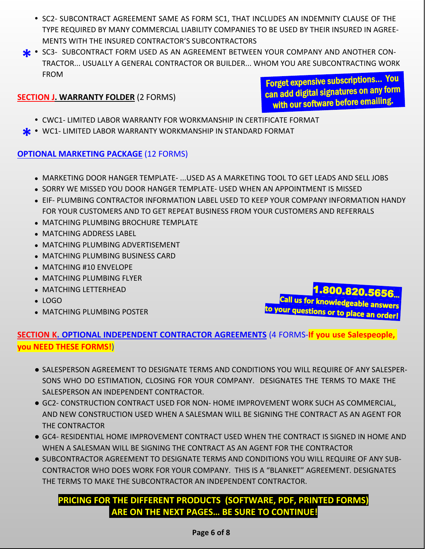- SC2- SUBCONTRACT AGREEMENT SAME AS FORM SC1, THAT INCLUDES AN INDEMNITY CLAUSE OF THE TYPE REQUIRED BY MANY COMMERCIAL LIABILITY COMPANIES TO BE USED BY THEIR INSURED IN AGREE-MENTS WITH THE INSURED CONTRACTOR'S SUBCONTRACTORS
- SC3- SUBCONTRACT FORM USED AS AN AGREEMENT BETWEEN YOUR COMPANY AND ANOTHER CON-<br>TRACTOR... USUALLY A GENERAL CONTRACTOR OR BUILDER... WHOM YOU ARE SUBCONTRACTING WOR TRACTOR... USUALLY A GENERAL CONTRACTOR OR BUILDER... WHOM YOU ARE SUBCONTRACTING WORK FROM

### **SECTION J. WARRANTY FOLDER** (2 FORMS)

Forget expensive subscriptions… You can add digital signatures on any form with our software before emailing.

- CWC1- LIMITED LABOR WARRANTY FOR WORKMANSHIP IN CERTIFICATE FORMAT
- WC1- LIMITED LABOR WARRANTY WORKMANSHIP IN STANDARD FORMAT **\***

### **OPTIONAL MARKETING PACKAGE** (12 FORMS)

- MARKETING DOOR HANGER TEMPLATE- ...USED AS A MARKETING TOOL TO GET LEADS AND SELL JOBS
- SORRY WE MISSED YOU DOOR HANGER TEMPLATE- USED WHEN AN APPOINTMENT IS MISSED
- EIF- PLUMBING CONTRACTOR INFORMATION LABEL USED TO KEEP YOUR COMPANY INFORMATION HANDY FOR YOUR CUSTOMERS AND TO GET REPEAT BUSINESS FROM YOUR CUSTOMERS AND REFERRALS
- MATCHING PLUMBING BROCHURE TEMPLATE
- MATCHING ADDRESS LABEL
- MATCHING PLUMBING ADVERTISEMENT
- MATCHING PLUMBING BUSINESS CARD
- MATCHING #10 ENVELOPE
- MATCHING PLUMBING FLYER
- MATCHING LETTERHEAD
- LOGO
- MATCHING PLUMBING POSTER

call us for knowledgeable answers<br>to your questions or to place an order!

# **SECTION K. OPTIONAL INDEPENDENT CONTRACTOR AGREEMENTS** (4 FORMS-**If you use Salespeople, you NEED THESE FORMS!**)

- SALESPERSON AGREEMENT TO DESIGNATE TERMS AND CONDITIONS YOU WILL REQUIRE OF ANY SALESPER-SONS WHO DO ESTIMATION, CLOSING FOR YOUR COMPANY. DESIGNATES THE TERMS TO MAKE THE SALESPERSON AN INDEPENDENT CONTRACTOR.
- GC2- CONSTRUCTION CONTRACT USED FOR NON- HOME IMPROVEMENT WORK SUCH AS COMMERCIAL, AND NEW CONSTRUCTION USED WHEN A SALESMAN WILL BE SIGNING THE CONTRACT AS AN AGENT FOR THE CONTRACTOR
- GC4- RESIDENTIAL HOME IMPROVEMENT CONTRACT USED WHEN THE CONTRACT IS SIGNED IN HOME AND WHEN A SALESMAN WILL BE SIGNING THE CONTRACT AS AN AGENT FOR THE CONTRACTOR
- SUBCONTRACTOR AGREEMENT TO DESIGNATE TERMS AND CONDITIONS YOU WILL REQUIRE OF ANY SUB-CONTRACTOR WHO DOES WORK FOR YOUR COMPANY. THIS IS A "BLANKET" AGREEMENT. DESIGNATES THE TERMS TO MAKE THE SUBCONTRACTOR AN INDEPENDENT CONTRACTOR.

# **PRICING FOR THE DIFFERENT PRODUCTS (SOFTWARE, PDF, PRINTED FORMS) ARE ON THE NEXT PAGES… BE SURE TO CONTINUE!**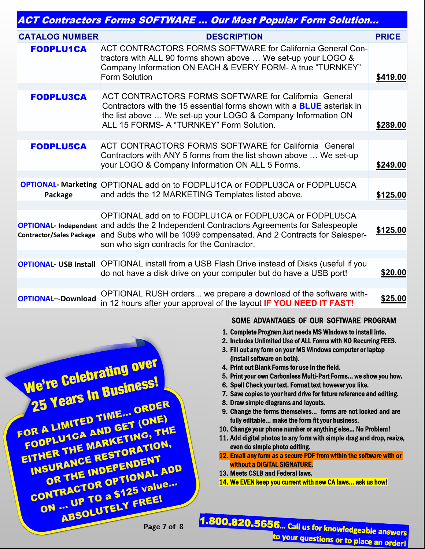| <b>ACT Contractors Forms SOFTWARE  Our Most Popular Form Solution</b> |                                                                                                                                                                                                                                                                                                         |              |  |  |
|-----------------------------------------------------------------------|---------------------------------------------------------------------------------------------------------------------------------------------------------------------------------------------------------------------------------------------------------------------------------------------------------|--------------|--|--|
| <b>CATALOG NUMBER</b>                                                 | <b>DESCRIPTION</b>                                                                                                                                                                                                                                                                                      | <b>PRICE</b> |  |  |
| <b>FODPLU1CA</b>                                                      | ACT CONTRACTORS FORMS SOFTWARE for California General Con-<br>tractors with ALL 90 forms shown above  We set-up your LOGO &<br>Company Information ON EACH & EVERY FORM- A true "TURNKEY"<br>Form Solution                                                                                              | \$419.00     |  |  |
|                                                                       |                                                                                                                                                                                                                                                                                                         |              |  |  |
| <b>FODPLU3CA</b>                                                      | ACT CONTRACTORS FORMS SOFTWARE for California General<br>Contractors with the 15 essential forms shown with a <b>BLUE</b> asterisk in<br>the list above  We set-up your LOGO & Company Information ON<br>ALL 15 FORMS- A "TURNKEY" Form Solution.                                                       | \$289.00     |  |  |
|                                                                       |                                                                                                                                                                                                                                                                                                         |              |  |  |
| <b>FODPLU5CA</b>                                                      | ACT CONTRACTORS FORMS SOFTWARE for California General<br>Contractors with ANY 5 forms from the list shown above  We set-up<br>your LOGO & Company Information ON ALL 5 Forms.                                                                                                                           | \$249.00     |  |  |
|                                                                       |                                                                                                                                                                                                                                                                                                         |              |  |  |
| Package                                                               | <b>OPTIONAL- Marketing OPTIONAL add on to FODPLU1CA or FODPLU3CA or FODPLU5CA</b><br>and adds the 12 MARKETING Templates listed above.                                                                                                                                                                  | \$125.00     |  |  |
|                                                                       |                                                                                                                                                                                                                                                                                                         |              |  |  |
|                                                                       | OPTIONAL add on to FODPLU1CA or FODPLU3CA or FODPLU5CA<br><b>OPTIONAL- Independent and adds the 2 Independent Contractors Agreements for Salespeople</b><br>Contractor/Sales Package and Subs who will be 1099 compensated. And 2 Contracts for Salesper-<br>son who sign contracts for the Contractor. | \$125.00     |  |  |
|                                                                       |                                                                                                                                                                                                                                                                                                         |              |  |  |
|                                                                       | <b>OPTIONAL- USB Install</b> OPTIONAL install from a USB Flash Drive instead of Disks (useful if you<br>do not have a disk drive on your computer but do have a USB port!                                                                                                                               | \$20.00      |  |  |
|                                                                       |                                                                                                                                                                                                                                                                                                         |              |  |  |
| <b>OPTIONAL--Download</b>                                             | OPTIONAL RUSH orders we prepare a download of the software with-<br>in 12 hours after your approval of the layout IF YOU NEED IT FAST!                                                                                                                                                                  | \$25.00      |  |  |



#### SOME ADVANTAGES OF OUR SOFTWARE PROGRAM

- 1. Complete Program Just needs MS Windows to install into.
- 2. Includes Unlimited Use of ALL Forms with NO Recurring FEES.
- 3. Fill out any form on your MS Windows computer or laptop (install software on both).
- 4. Print out Blank Forms for use in the field.
- 5. Print your own Carbonless Multi-Part Forms… we show you how.
- 6. Spell Check your text. Format text however you like.
- 7. Save copies to your hard drive for future reference and editing.
- 8. Draw simple diagrams and layouts.
- 9. Change the forms themselves… forms are not locked and are fully editable… make the form fit your business.
- 10. Change your phone number or anything else… No Problem!
- 11. Add digital photos to any form with simple drag and drop, resize, even do simple photo editing.
- 12. Email any form as a secure PDF from within the software with or without a DIGITAL SIGNATURE.
- 13. Meets CSLB and Federal laws.
- 14. We EVEN keep you current with new CA laws… ask us how!